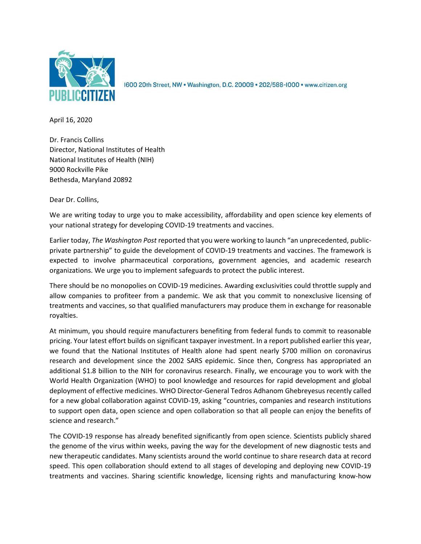

1600 20th Street, NW · Washington, D.C. 20009 · 202/588-1000 · www.citizen.org

April 16, 2020

Dr. Francis Collins Director, National Institutes of Health National Institutes of Health (NIH) 9000 Rockville Pike Bethesda, Maryland 20892

Dear Dr. Collins,

We are writing today to urge you to make accessibility, affordability and open science key elements of your national strategy for developing COVID-19 treatments and vaccines.

Earlier today, *The Washington Post* reported that you were working to launch "an unprecedented, publicprivate partnership" to guide the development of COVID-19 treatments and vaccines. The framework is expected to involve pharmaceutical corporations, government agencies, and academic research organizations. We urge you to implement safeguards to protect the public interest.

There should be no monopolies on COVID-19 medicines. Awarding exclusivities could throttle supply and allow companies to profiteer from a pandemic. We ask that you commit to nonexclusive licensing of treatments and vaccines, so that qualified manufacturers may produce them in exchange for reasonable royalties.

At minimum, you should require manufacturers benefiting from federal funds to commit to reasonable pricing. Your latest effort builds on significant taxpayer investment. In a report published earlier this year, we found that the National Institutes of Health alone had spent nearly \$700 million on coronavirus research and development since the 2002 SARS epidemic. Since then, Congress has appropriated an additional \$1.8 billion to the NIH for coronavirus research. Finally, we encourage you to work with the World Health Organization (WHO) to pool knowledge and resources for rapid development and global deployment of effective medicines. WHO Director-General Tedros Adhanom Ghebreyesus recently called for a new global collaboration against COVID-19, asking "countries, companies and research institutions to support open data, open science and open collaboration so that all people can enjoy the benefits of science and research."

The COVID-19 response has already benefited significantly from open science. Scientists publicly shared the genome of the virus within weeks, paving the way for the development of new diagnostic tests and new therapeutic candidates. Many scientists around the world continue to share research data at record speed. This open collaboration should extend to all stages of developing and deploying new COVID-19 treatments and vaccines. Sharing scientific knowledge, licensing rights and manufacturing know-how